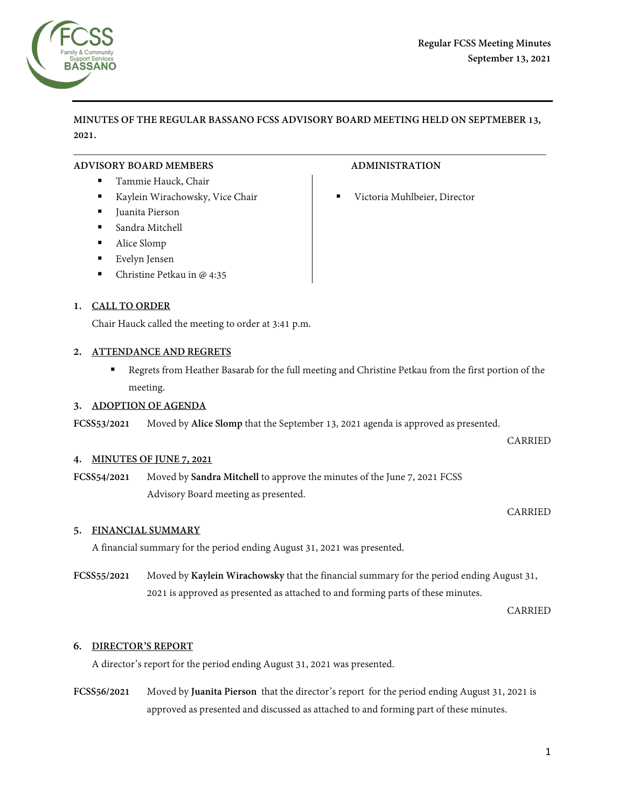

**MINUTES OF THE REGULAR BASSANO FCSS ADVISORY BOARD MEETING HELD ON SEPTMEBER 13, 2021.**

 $\overline{\phantom{a}}$  , and the contribution of the contribution of the contribution of the contribution of the contribution of the contribution of the contribution of the contribution of the contribution of the contribution of the

### **ADVISORY BOARD MEMBERS ADMINISTRATION**

- Tammie Hauck, Chair
- Kaylein Wirachowsky, Vice Chair **Chair** Victoria Muhlbeier, Director
- Juanita Pierson
- Sandra Mitchell
- Alice Slomp
- Evelyn Jensen
- Christine Petkau in @ 4:35

# **1. CALL TO ORDER**

Chair Hauck called the meeting to order at 3:41 p.m.

### **2. ATTENDANCE AND REGRETS**

**Regrets from Heather Basarab for the full meeting and Christine Petkau from the first portion of the** meeting.

### **3. ADOPTION OF AGENDA**

**FCSS53/2021** Moved by **Alice Slomp** that the September 13, 2021 agenda is approved as presented.

### **4. MINUTES OF JUNE 7, 2021**

**FCSS54/2021** Moved by **Sandra Mitchell** to approve the minutes of the June 7, 2021 FCSS Advisory Board meeting as presented.

### CARRIED

CARRIED

# **5. FINANCIAL SUMMARY**

A financial summary for the period ending August 31, 2021 was presented.

# **FCSS55/2021** Moved by **Kaylein Wirachowsky** that the financial summary for the period ending August 31, 2021 is approved as presented as attached to and forming parts of these minutes.

CARRIED

# **6. DIRECTOR'S REPORT**

A director's report for the period ending August 31, 2021 was presented.

**FCSS56/2021** Moved by **Juanita Pierson** that the director's report for the period ending August 31, 2021 is approved as presented and discussed as attached to and forming part of these minutes.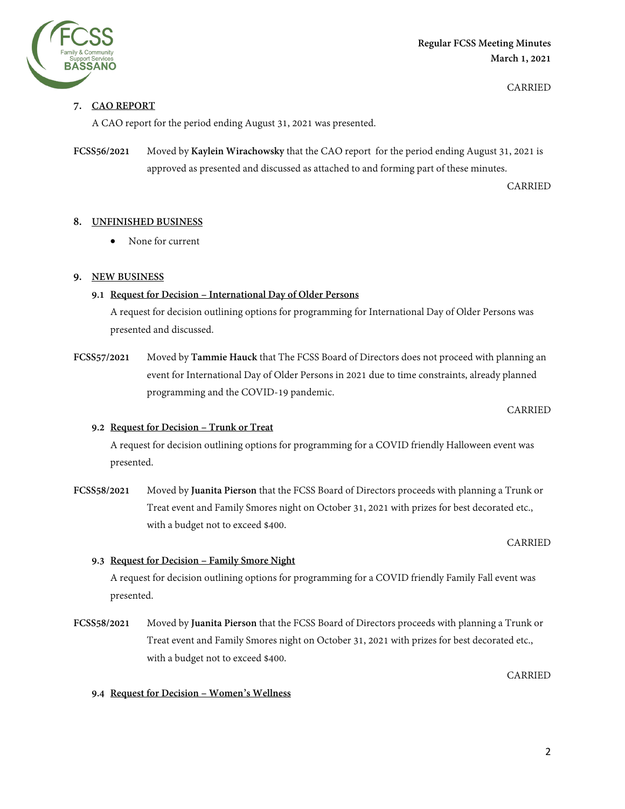

**Regular FCSS Meeting Minutes March 1, 2021** 

CARRIED

# **7. CAO REPORT**

A CAO report for the period ending August 31, 2021 was presented.

**FCSS56/2021** Moved by **Kaylein Wirachowsky** that the CAO report for the period ending August 31, 2021 is approved as presented and discussed as attached to and forming part of these minutes.

CARRIED

### **8. UNFINISHED BUSINESS**

• None for current

### **9. NEW BUSINESS**

# **9.1 Request for Decision – International Day of Older Persons**

A request for decision outlining options for programming for International Day of Older Persons was presented and discussed.

**FCSS57/2021** Moved by **Tammie Hauck** that The FCSS Board of Directors does not proceed with planning an event for International Day of Older Persons in 2021 due to time constraints, already planned programming and the COVID-19 pandemic.

CARRIED

# **9.2 Request for Decision – Trunk or Treat**

A request for decision outlining options for programming for a COVID friendly Halloween event was presented.

**FCSS58/2021** Moved by **Juanita Pierson** that the FCSS Board of Directors proceeds with planning a Trunk or Treat event and Family Smores night on October 31, 2021 with prizes for best decorated etc., with a budget not to exceed \$400.

CARRIED

### **9.3 Request for Decision – Family Smore Night**

A request for decision outlining options for programming for a COVID friendly Family Fall event was presented.

**FCSS58/2021** Moved by **Juanita Pierson** that the FCSS Board of Directors proceeds with planning a Trunk or Treat event and Family Smores night on October 31, 2021 with prizes for best decorated etc., with a budget not to exceed \$400.

CARRIED

### **9.4 Request for Decision – Women's Wellness**